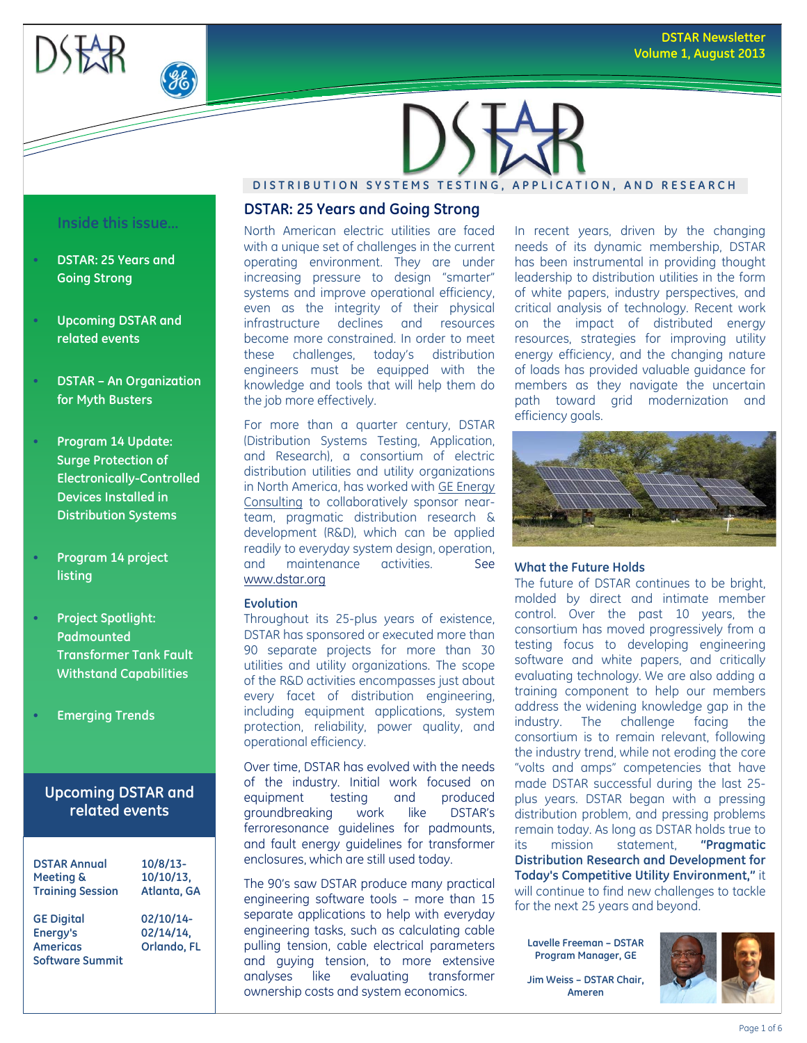



# **DISTRIBUTION SYSTEMS TESTING, APPLICATION, AND RESEARCH**

#### **Inside this issue…**

- **DSTAR: 25 Years and Going Strong**
- **Upcoming DSTAR and related events**
- **DSTAR – An Organization for Myth Busters**
- **Program 14 Update: Surge Protection of Electronically-Controlled Devices Installed in Distribution Systems**
- **Program 14 project listing**
- **Project Spotlight: Padmounted Transformer Tank Fault Withstand Capabilities**
- **Emerging Trends**

# **Upcoming DSTAR and related events**

| <b>DSTAR Annual</b>                                                        | $10/8/13$ -                           |
|----------------------------------------------------------------------------|---------------------------------------|
| Meeting &                                                                  | $10/10/13$ ,                          |
| <b>Training Session</b>                                                    | Atlanta, GA                           |
| <b>GE Digital</b><br>Energy's<br><b>Americas</b><br><b>Software Summit</b> | 02/10/14-<br>02/14/14,<br>Orlando, FL |

# **DSTAR: 25 Years and Going Strong**

North American electric utilities are faced with a unique set of challenges in the current operating environment. They are under increasing pressure to design "smarter" systems and improve operational efficiency, even as the integrity of their physical infrastructure declines and resources become more constrained. In order to meet these challenges, today's distribution engineers must be equipped with the knowledge and tools that will help them do the job more effectively.

For more than a quarter century, DSTAR (Distribution Systems Testing, Application, and Research), a consortium of electric distribution utilities and utility organizations in North America, has worked wit[h GE Energy](http://www.geenergyconsulting.com/)  [Consulting](http://www.geenergyconsulting.com/) to collaboratively sponsor nearteam, pragmatic distribution research & development (R&D), which can be applied readily to everyday system design, operation, and maintenance activities. See [www.dstar.org](http://www.dstar.org/)

#### **Evolution**

Throughout its 25-plus years of existence, DSTAR has sponsored or executed more than 90 separate projects for more than 30 utilities and utility organizations. The scope of the R&D activities encompasses just about every facet of distribution engineering, including equipment applications, system protection, reliability, power quality, and operational efficiency.

Over time, DSTAR has evolved with the needs of the industry. Initial work focused on equipment testing and produced groundbreaking work like DSTAR's ferroresonance guidelines for padmounts, and fault energy guidelines for transformer enclosures, which are still used today.

The 90's saw DSTAR produce many practical engineering software tools – more than 15 separate applications to help with everyday engineering tasks, such as calculating cable pulling tension, cable electrical parameters and guying tension, to more extensive analyses like evaluating transformer ownership costs and system economics.

In recent years, driven by the changing needs of its dynamic membership, DSTAR has been instrumental in providing thought leadership to distribution utilities in the form of white papers, industry perspectives, and critical analysis of technology. Recent work on the impact of distributed energy resources, strategies for improving utility energy efficiency, and the changing nature of loads has provided valuable guidance for members as they navigate the uncertain path toward grid modernization and efficiency goals.



#### **What the Future Holds**

The future of DSTAR continues to be bright, molded by direct and intimate member control. Over the past 10 years, the consortium has moved progressively from a testing focus to developing engineering software and white papers, and critically evaluating technology. We are also adding a training component to help our members address the widening knowledge gap in the industry. The challenge facing the consortium is to remain relevant, following the industry trend, while not eroding the core "volts and amps" competencies that have made DSTAR successful during the last 25 plus years. DSTAR began with a pressing distribution problem, and pressing problems remain today. As long as DSTAR holds true to its mission statement, **"Pragmatic Distribution Research and Development for Today's Competitive Utility Environment,"** it will continue to find new challenges to tackle for the next 25 years and beyond.

**Lavelle Freeman – DSTAR Program Manager, GE**

**Jim Weiss – DSTAR Chair, Ameren**

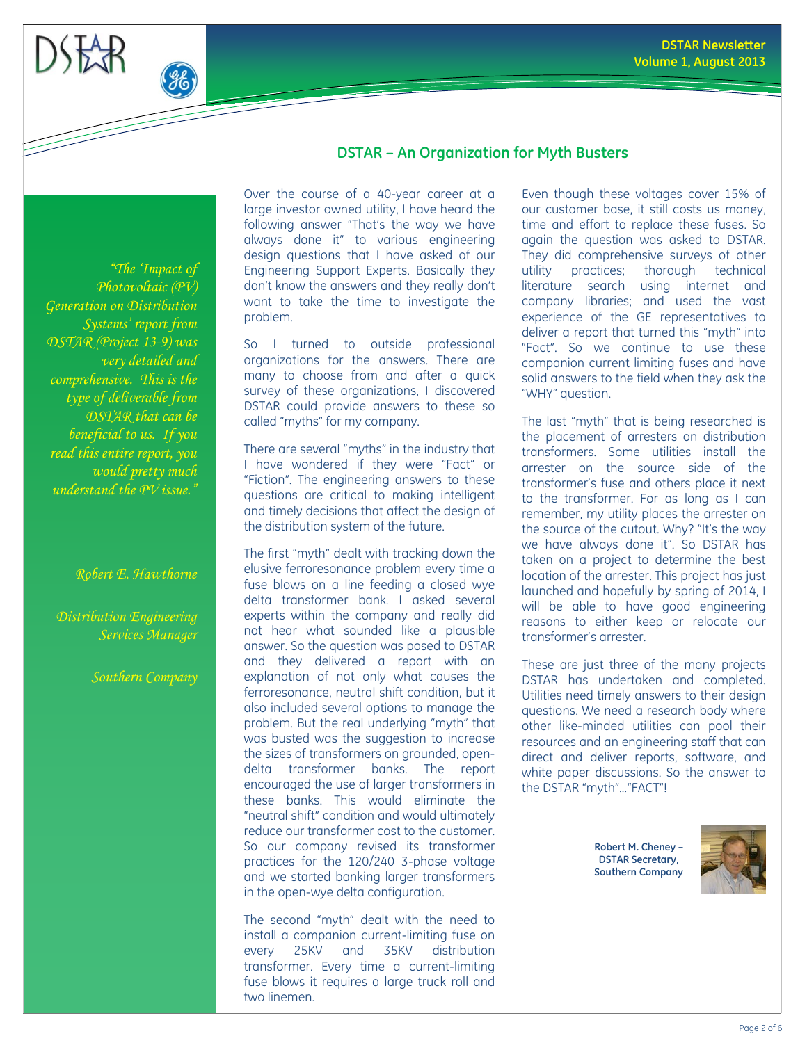

# **DSTAR – An Organization for Myth Busters**

*"The 'Impact of Photovoltaic (PV) Generation on Distribution Systems' report from DSTAR (Project 13-9) was very detailed and comprehensive. This is the type of deliverable from DSTAR that can be beneficial to us. If you read this entire report, you would pretty much understand the PV issue."*

#### *Robert E. Hawthorne*

*Distribution Engineering Services Manager*

*Southern Company*

Over the course of a 40-year career at a large investor owned utility, I have heard the following answer "That's the way we have always done it" to various engineering design questions that I have asked of our Engineering Support Experts. Basically they don't know the answers and they really don't want to take the time to investigate the problem.

So I turned to outside professional organizations for the answers. There are many to choose from and after a quick survey of these organizations, I discovered DSTAR could provide answers to these so called "myths" for my company.

There are several "myths" in the industry that I have wondered if they were "Fact" or "Fiction". The engineering answers to these questions are critical to making intelligent and timely decisions that affect the design of the distribution system of the future.

The first "myth" dealt with tracking down the elusive ferroresonance problem every time a fuse blows on a line feeding a closed wye delta transformer bank. I asked several experts within the company and really did not hear what sounded like a plausible answer. So the question was posed to DSTAR and they delivered a report with an explanation of not only what causes the ferroresonance, neutral shift condition, but it also included several options to manage the problem. But the real underlying "myth" that was busted was the suggestion to increase the sizes of transformers on grounded, opendelta transformer banks. The report encouraged the use of larger transformers in these banks. This would eliminate the "neutral shift" condition and would ultimately reduce our transformer cost to the customer. So our company revised its transformer practices for the 120/240 3-phase voltage and we started banking larger transformers in the open-wye delta configuration.

The second "myth" dealt with the need to install a companion current-limiting fuse on every 25KV and 35KV distribution transformer. Every time a current-limiting fuse blows it requires a large truck roll and two linemen.

Even though these voltages cover 15% of our customer base, it still costs us money, time and effort to replace these fuses. So again the question was asked to DSTAR. They did comprehensive surveys of other utility practices; thorough technical literature search using internet and company libraries; and used the vast experience of the GE representatives to deliver a report that turned this "myth" into "Fact". So we continue to use these companion current limiting fuses and have solid answers to the field when they ask the "WHY" question.

The last "myth" that is being researched is the placement of arresters on distribution transformers. Some utilities install the arrester on the source side of the transformer's fuse and others place it next to the transformer. For as long as I can remember, my utility places the arrester on the source of the cutout. Why? "It's the way we have always done it". So DSTAR has taken on a project to determine the best location of the arrester. This project has just launched and hopefully by spring of 2014, I will be able to have good engineering reasons to either keep or relocate our transformer's arrester.

These are just three of the many projects DSTAR has undertaken and completed. Utilities need timely answers to their design questions. We need a research body where other like-minded utilities can pool their resources and an engineering staff that can direct and deliver reports, software, and white paper discussions. So the answer to the DSTAR "myth"…"FACT"!

> **Robert M. Cheney – DSTAR Secretary, Southern Company**

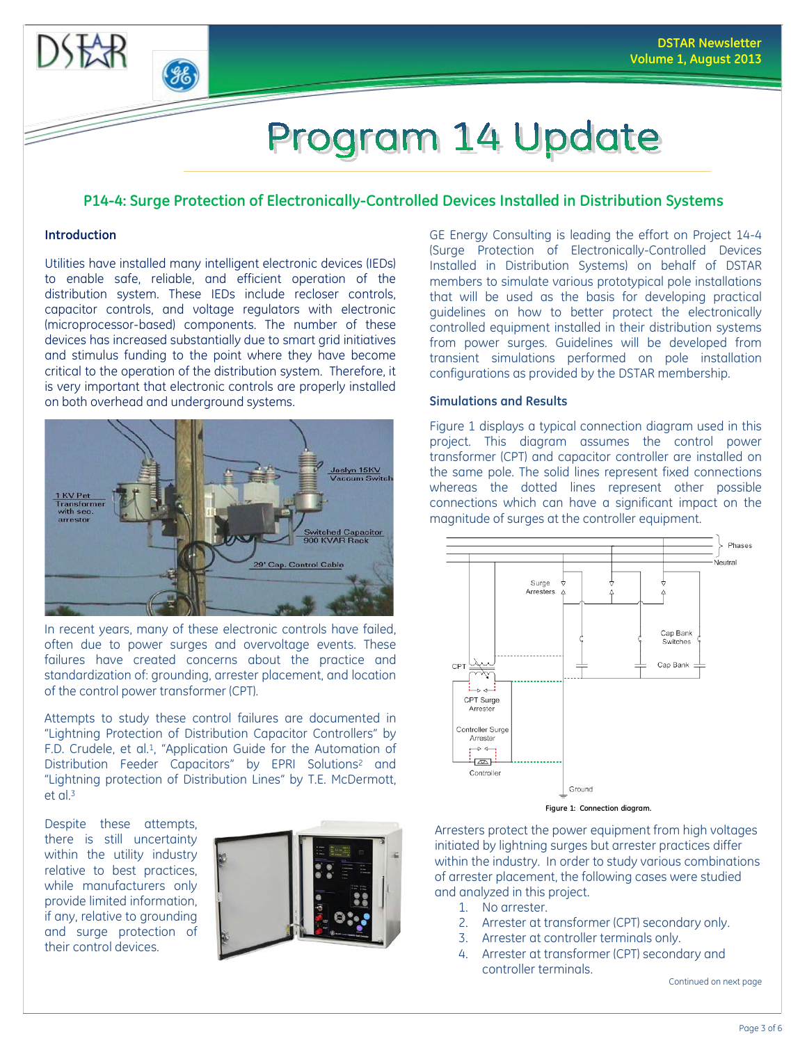

 $-46$ 

# Program 14 Update

# **P14-4: Surge Protection of Electronically-Controlled Devices Installed in Distribution Systems**

# **Introduction**

Utilities have installed many intelligent electronic devices (IEDs) to enable safe, reliable, and efficient operation of the distribution system. These IEDs include recloser controls, capacitor controls, and voltage regulators with electronic (microprocessor-based) components. The number of these devices has increased substantially due to smart grid initiatives and stimulus funding to the point where they have become critical to the operation of the distribution system. Therefore, it is very important that electronic controls are properly installed on both overhead and underground systems.



In recent years, many of these electronic controls have failed, often due to power surges and overvoltage events. These failures have created concerns about the practice and standardization of: grounding, arrester placement, and location of the control power transformer (CPT).

Attempts to study these control failures are documented in "Lightning Protection of Distribution Capacitor Controllers" by F.D. Crudele, et al.1, "Application Guide for the Automation of Distribution Feeder Capacitors" by EPRI Solutions<sup>2</sup> and "Lightning protection of Distribution Lines" by T.E. McDermott, et al. 3

Despite these attempts, there is still uncertainty within the utility industry relative to best practices, while manufacturers only provide limited information, if any, relative to grounding and surge protection of their control devices.



GE Energy Consulting is leading the effort on Project 14-4 (Surge Protection of Electronically-Controlled Devices Installed in Distribution Systems) on behalf of DSTAR members to simulate various prototypical pole installations that will be used as the basis for developing practical guidelines on how to better protect the electronically controlled equipment installed in their distribution systems from power surges. Guidelines will be developed from transient simulations performed on pole installation configurations as provided by the DSTAR membership.

# **Simulations and Results**

Figure 1 displays a typical connection diagram used in this project. This diagram assumes the control power transformer (CPT) and capacitor controller are installed on the same pole. The solid lines represent fixed connections whereas the dotted lines represent other possible connections which can have a significant impact on the magnitude of surges at the controller equipment.



Arresters protect the power equipment from high voltages initiated by lightning surges but arrester practices differ within the industry. In order to study various combinations of arrester placement, the following cases were studied and analyzed in this project.

- 1. No arrester.
- 2. Arrester at transformer (CPT) secondary only.
- 3. Arrester at controller terminals only.
- 4. Arrester at transformer (CPT) secondary and controller terminals.

Continued on next page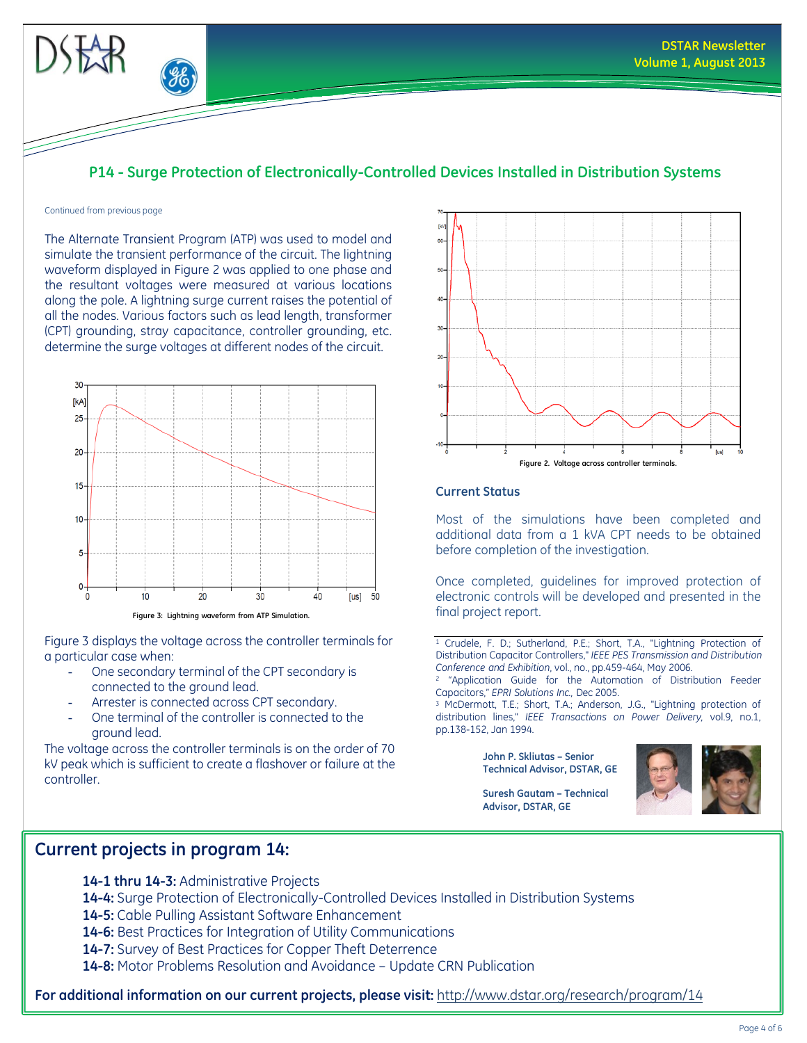

# **P14 - Surge Protection of Electronically-Controlled Devices Installed in Distribution Systems**

#### Continued from previous page

The Alternate Transient Program (ATP) was used to model and simulate the transient performance of the circuit. The lightning waveform displayed in Figure 2 was applied to one phase and the resultant voltages were measured at various locations along the pole. A lightning surge current raises the potential of all the nodes. Various factors such as lead length, transformer (CPT) grounding, stray capacitance, controller grounding, etc. determine the surge voltages at different nodes of the circuit.



**Figure 3: Lightning waveform from ATP Simulation.**

Figure 3 displays the voltage across the controller terminals for a particular case when:

- One secondary terminal of the CPT secondary is connected to the ground lead.
- Arrester is connected across CPT secondary.
- One terminal of the controller is connected to the ground lead.

The voltage across the controller terminals is on the order of 70 kV peak which is sufficient to create a flashover or failure at the controller.

# **Current projects in program 14:**

**Figure 2. Voltage across controller terminals.**

#### **Current Status**

Most of the simulations have been completed and additional data from a 1 kVA CPT needs to be obtained before completion of the investigation.

Once completed, guidelines for improved protection of electronic controls will be developed and presented in the final project report.

<sup>1</sup> Crudele, F. D.; Sutherland, P.E.; Short, T.A., "Lightning Protection of Distribution Capacitor Controllers," *IEEE PES Transmission and Distribution Conference and Exhibition*, vol., no., pp.459-464, May 2006.

<sup>2</sup> "Application Guide for the Automation of Distribution Feeder Capacitors," *EPRI Solutions Inc.,* Dec 2005.

<sup>3</sup> McDermott, T.E.; Short, T.A.; Anderson, J.G., "Lightning protection of distribution lines," *IEEE Transactions on Power Delivery,* vol.9, no.1, pp.138-152, Jan 1994.

> **John P. Skliutas – Senior Technical Advisor, DSTAR, GE**



**Suresh Gautam – Technical Advisor, DSTAR, GE**

**14-1 thru 14-3:** Administrative Projects **14-4:** Surge Protection of Electronically-Controlled Devices Installed in Distribution Systems **14-5:** Cable Pulling Assistant Software Enhancement **14-6:** Best Practices for Integration of Utility Communications **14-7:** Survey of Best Practices for Copper Theft Deterrence

**14-8:** Motor Problems Resolution and Avoidance – Update CRN Publication

**For additional information on our current projects, please visit:** <http://www.dstar.org/research/program/14>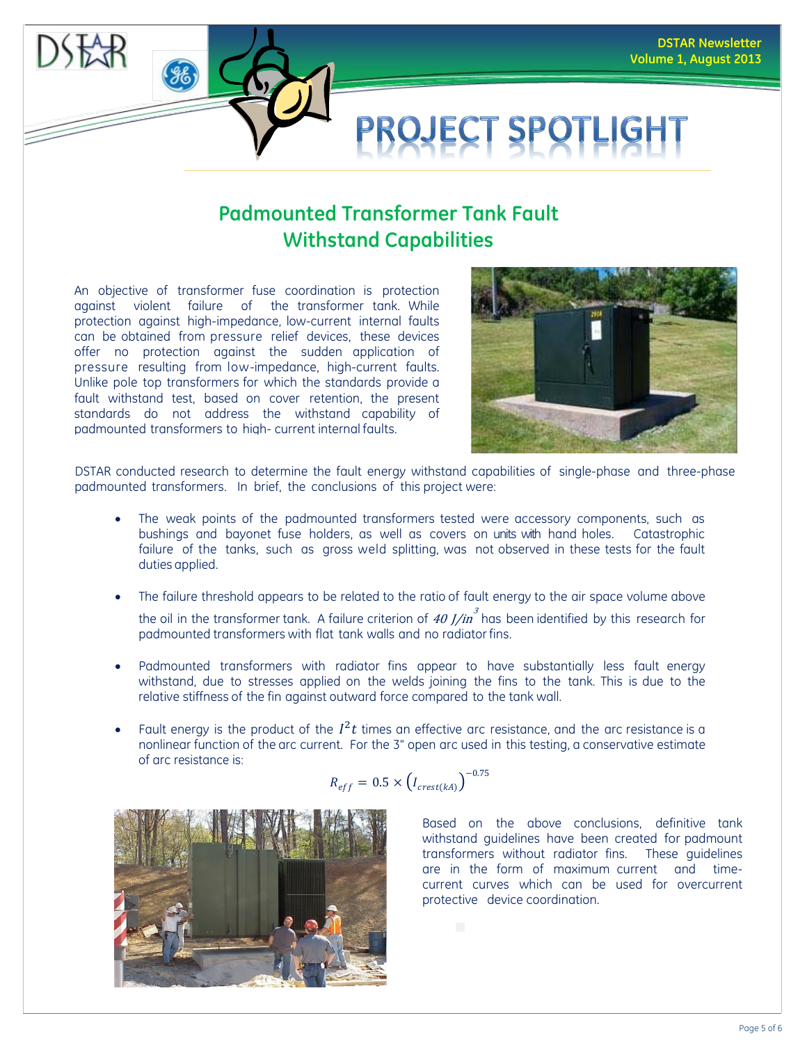

# **Padmounted Transformer Tank Fault Withstand Capabilities**

An objective of transformer fuse coordination is protection against violent failure of the transformer tank. While protection against high-impedance, low-current internal faults can be obtained from pressure relief devices, these devices offer no protection against the sudden application of pressure resulting from low-impedance, high-current faults. Unlike pole top transformers for which the standards provide a fault withstand test, based on cover retention, the present standards do not address the withstand capability of padmounted transformers to high-current internal faults.



DSTAR conducted research to determine the fault energy withstand capabilities of single-phase and three-phase padmounted transformers. In brief, the conclusions of this project were:

- The weak points of the padmounted transformers tested were accessory components, such as bushings and bayonet fuse holders, as well as covers on units with hand holes. Catastrophic failure of the tanks, such as gross weld splitting, was not observed in these tests for the fault duties applied.
- The failure threshold appears to be related to the ratio of fault energy to the air space volume above the oil in the transformer tank. A failure criterion of  $\left. 40 \, J / \text{in} \right.^3$  has been identified by this research for padmounted transformers with flat tank walls and no radiatorfins.
- Padmounted transformers with radiator fins appear to have substantially less fault energy withstand, due to stresses applied on the welds joining the fins to the tank. This is due to the relative stiffness of the fin against outward force compared to the tank wall.
- −0.75 Fault energy is the product of the  $I^2t$  times an effective arc resistance, and the arc resistance is a nonlinear function of the arc current. For the 3" open arc used in this testing, a conservative estimate of arc resistance is:

$$
R_{eff} = 0.5 \times \left(I_{crest(kA)}\right)^{-0}
$$



Based on the above conclusions, definitive tank withstand guidelines have been created for padmount transformers without radiator fins. These guidelines are in the form of maximum current and timecurrent curves which can be used for overcurrent protective device coordination.